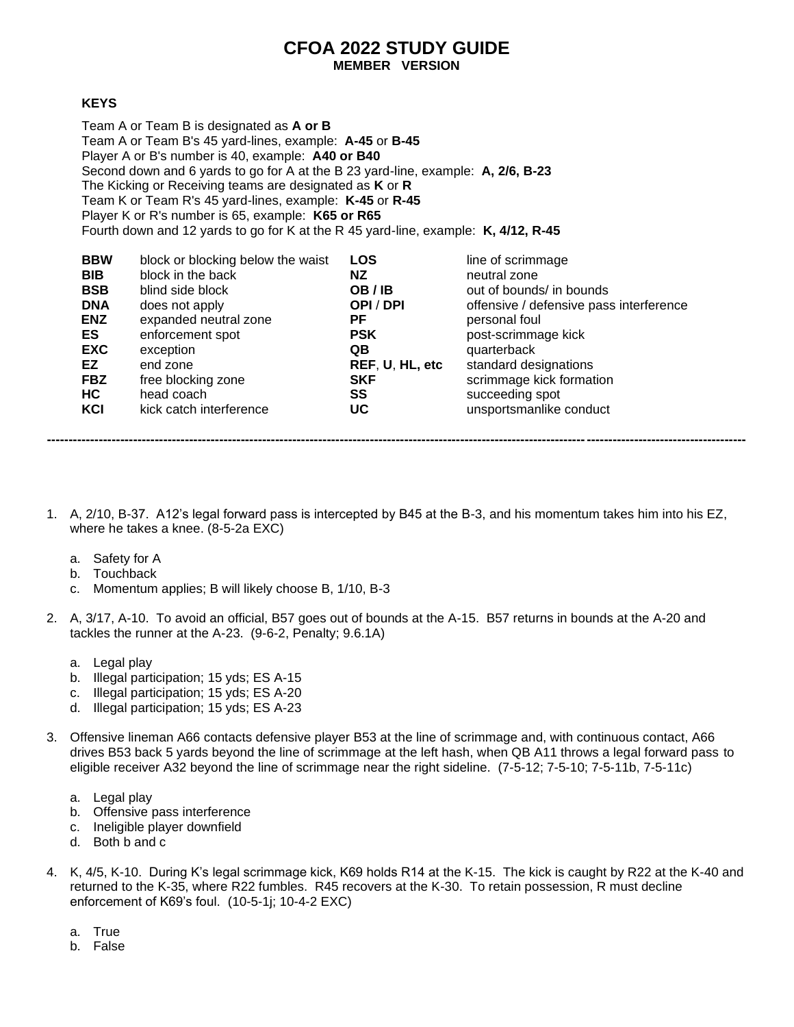## **CFOA 2022 STUDY GUIDE MEMBER VERSION**

## **KEYS**

Team A or Team B is designated as **A or B** Team A or Team B's 45 yard-lines, example: **A-45** or **B-45** Player A or B's number is 40, example: **A40 or B40** Second down and 6 yards to go for A at the B 23 yard-line, example: **A, 2/6, B-23** The Kicking or Receiving teams are designated as **K** or **R** Team K or Team R's 45 yard-lines, example: **K-45** or **R-45** Player K or R's number is 65, example: **K65 or R65** Fourth down and 12 yards to go for K at the R 45 yard-line, example: **K, 4/12, R-45**

| <b>BBW</b><br><b>BIB</b><br><b>BSB</b> | block or blocking below the waist<br>block in the back<br>blind side block | <b>LOS</b><br>NZ<br>OB/IB | line of scrimmage<br>neutral zone<br>out of bounds/ in bounds |
|----------------------------------------|----------------------------------------------------------------------------|---------------------------|---------------------------------------------------------------|
| <b>DNA</b>                             | does not apply                                                             | OPI/DPI                   | offensive / defensive pass interference                       |
| <b>ENZ</b>                             | expanded neutral zone                                                      | РF                        | personal foul                                                 |
| ES                                     | enforcement spot                                                           | <b>PSK</b>                | post-scrimmage kick                                           |
| <b>EXC</b>                             | exception                                                                  | QB.                       | quarterback                                                   |
| EZ.                                    | end zone                                                                   | REF, U, HL, etc           | standard designations                                         |
| <b>FBZ</b>                             | free blocking zone                                                         | <b>SKF</b>                | scrimmage kick formation                                      |
| HC.                                    | head coach                                                                 | SS                        | succeeding spot                                               |
| KCI                                    | kick catch interference                                                    | <b>UC</b>                 | unsportsmanlike conduct                                       |
|                                        |                                                                            |                           |                                                               |

1. A, 2/10, B-37. A12's legal forward pass is intercepted by B45 at the B-3, and his momentum takes him into his EZ, where he takes a knee. (8-5-2a EXC)

**------------------------------------------------------------------------------------------------------------------------------------------------------------------**

- a. Safety for A
- b. Touchback
- c. Momentum applies; B will likely choose B, 1/10, B-3
- 2. A, 3/17, A-10. To avoid an official, B57 goes out of bounds at the A-15. B57 returns in bounds at the A-20 and tackles the runner at the A-23. (9-6-2, Penalty; 9.6.1A)
	- a. Legal play
	- b. Illegal participation; 15 yds; ES A-15
	- c. Illegal participation; 15 yds; ES A-20
	- d. Illegal participation; 15 yds; ES A-23
- 3. Offensive lineman A66 contacts defensive player B53 at the line of scrimmage and, with continuous contact, A66 drives B53 back 5 yards beyond the line of scrimmage at the left hash, when QB A11 throws a legal forward pass to eligible receiver A32 beyond the line of scrimmage near the right sideline. (7-5-12; 7-5-10; 7-5-11b, 7-5-11c)
	- a. Legal play
	- b. Offensive pass interference
	- c. Ineligible player downfield
	- d. Both b and c
- 4. K, 4/5, K-10. During K's legal scrimmage kick, K69 holds R14 at the K-15. The kick is caught by R22 at the K-40 and returned to the K-35, where R22 fumbles. R45 recovers at the K-30. To retain possession, R must decline enforcement of K69's foul. (10-5-1j; 10-4-2 EXC)
	- a. True
	- b. False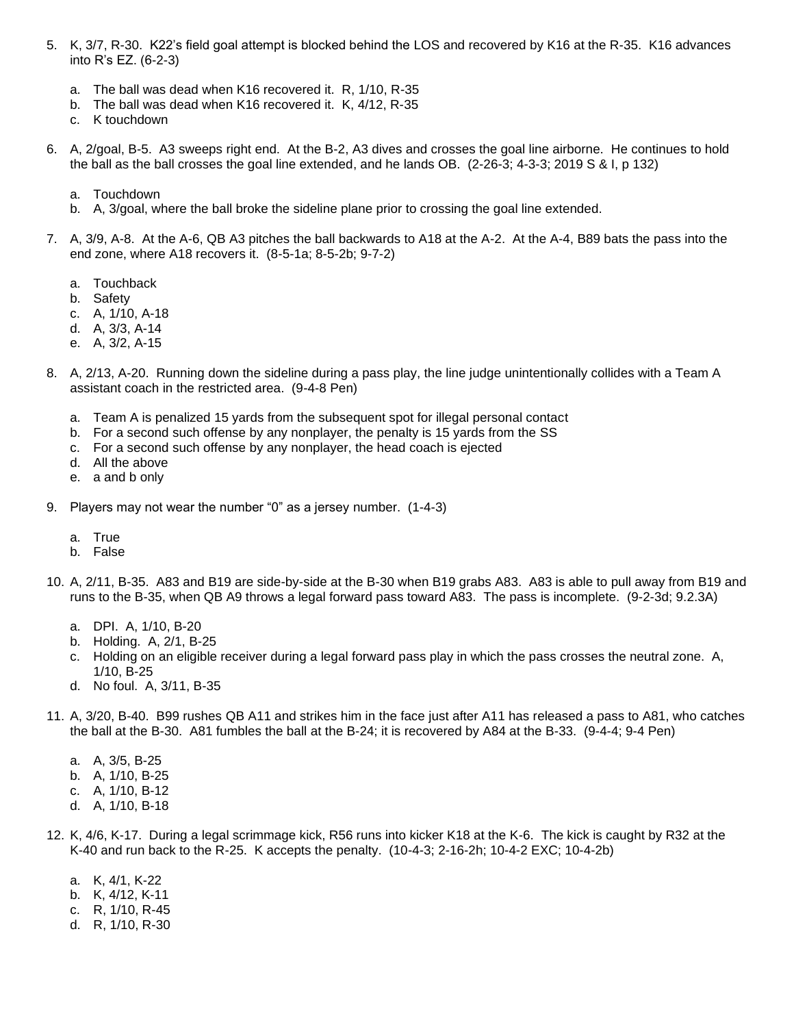- 5. K, 3/7, R-30. K22's field goal attempt is blocked behind the LOS and recovered by K16 at the R-35. K16 advances into R's EZ. (6-2-3)
	- a. The ball was dead when K16 recovered it. R, 1/10, R-35
	- b. The ball was dead when K16 recovered it. K, 4/12, R-35
	- c. K touchdown
- 6. A, 2/goal, B-5. A3 sweeps right end. At the B-2, A3 dives and crosses the goal line airborne. He continues to hold the ball as the ball crosses the goal line extended, and he lands OB. (2-26-3; 4-3-3; 2019 S & I, p 132)
	- a. Touchdown
	- b. A, 3/goal, where the ball broke the sideline plane prior to crossing the goal line extended.
- 7. A, 3/9, A-8. At the A-6, QB A3 pitches the ball backwards to A18 at the A-2. At the A-4, B89 bats the pass into the end zone, where A18 recovers it. (8-5-1a; 8-5-2b; 9-7-2)
	- a. Touchback
	- b. Safety
	- c. A, 1/10, A-18
	- d. A, 3/3, A-14
	- e. A, 3/2, A-15
- 8. A, 2/13, A-20. Running down the sideline during a pass play, the line judge unintentionally collides with a Team A assistant coach in the restricted area. (9-4-8 Pen)
	- a. Team A is penalized 15 yards from the subsequent spot for illegal personal contact
	- b. For a second such offense by any nonplayer, the penalty is 15 yards from the SS
	- c. For a second such offense by any nonplayer, the head coach is ejected
	- d. All the above
	- e. a and b only
- 9. Players may not wear the number "0" as a jersey number. (1-4-3)
	- a. True
	- b. False
- 10. A, 2/11, B-35. A83 and B19 are side-by-side at the B-30 when B19 grabs A83. A83 is able to pull away from B19 and runs to the B-35, when QB A9 throws a legal forward pass toward A83. The pass is incomplete. (9-2-3d; 9.2.3A)
	- a. DPI. A, 1/10, B-20
	- b. Holding. A, 2/1, B-25
	- c. Holding on an eligible receiver during a legal forward pass play in which the pass crosses the neutral zone. A, 1/10, B-25
	- d. No foul. A, 3/11, B-35
- 11. A, 3/20, B-40. B99 rushes QB A11 and strikes him in the face just after A11 has released a pass to A81, who catches the ball at the B-30. A81 fumbles the ball at the B-24; it is recovered by A84 at the B-33. (9-4-4; 9-4 Pen)
	- a. A, 3/5, B-25
	- b. A, 1/10, B-25
	- c. A, 1/10, B-12
	- d. A, 1/10, B-18
- 12. K, 4/6, K-17. During a legal scrimmage kick, R56 runs into kicker K18 at the K-6. The kick is caught by R32 at the K-40 and run back to the R-25. K accepts the penalty. (10-4-3; 2-16-2h; 10-4-2 EXC; 10-4-2b)
	- a. K, 4/1, K-22
	- b. K, 4/12, K-11
	- c. R, 1/10, R-45
	- d. R, 1/10, R-30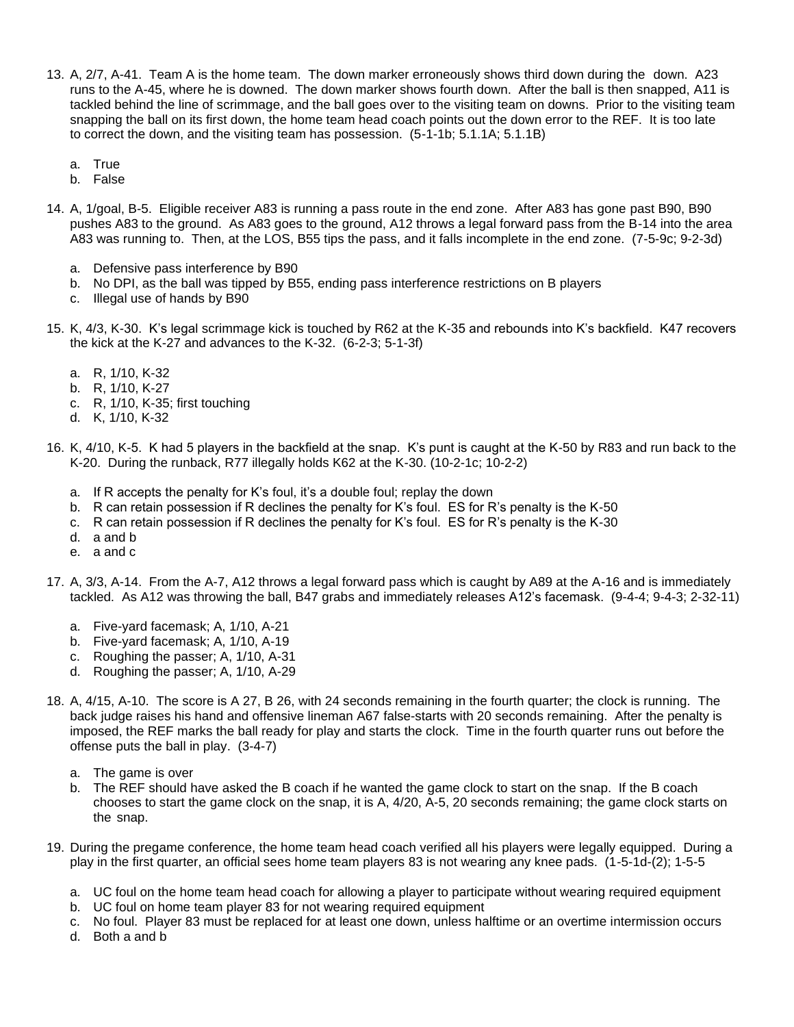- 13. A, 2/7, A-41. Team A is the home team. The down marker erroneously shows third down during the down. A23 runs to the A-45, where he is downed. The down marker shows fourth down. After the ball is then snapped, A11 is tackled behind the line of scrimmage, and the ball goes over to the visiting team on downs. Prior to the visiting team snapping the ball on its first down, the home team head coach points out the down error to the REF. It is too late to correct the down, and the visiting team has possession. (5-1-1b; 5.1.1A; 5.1.1B)
	- a. True
	- b. False
- 14. A, 1/goal, B-5. Eligible receiver A83 is running a pass route in the end zone. After A83 has gone past B90, B90 pushes A83 to the ground. As A83 goes to the ground, A12 throws a legal forward pass from the B-14 into the area A83 was running to. Then, at the LOS, B55 tips the pass, and it falls incomplete in the end zone. (7-5-9c; 9-2-3d)
	- a. Defensive pass interference by B90
	- b. No DPI, as the ball was tipped by B55, ending pass interference restrictions on B players
	- c. Illegal use of hands by B90
- 15. K, 4/3, K-30. K's legal scrimmage kick is touched by R62 at the K-35 and rebounds into K's backfield. K47 recovers the kick at the K-27 and advances to the K-32. (6-2-3; 5-1-3f)
	- a. R, 1/10, K-32
	- b. R, 1/10, K-27
	- c. R, 1/10, K-35; first touching
	- d. K, 1/10, K-32
- 16. K, 4/10, K-5. K had 5 players in the backfield at the snap. K's punt is caught at the K-50 by R83 and run back to the K-20. During the runback, R77 illegally holds K62 at the K-30. (10-2-1c; 10-2-2)
	- a. If R accepts the penalty for K's foul, it's a double foul; replay the down
	- b. R can retain possession if R declines the penalty for K's foul. ES for R's penalty is the K-50
	- c. R can retain possession if R declines the penalty for K's foul. ES for R's penalty is the K-30
	- d. a and b
	- e. a and c
- 17. A, 3/3, A-14. From the A-7, A12 throws a legal forward pass which is caught by A89 at the A-16 and is immediately tackled. As A12 was throwing the ball, B47 grabs and immediately releases A12's facemask. (9-4-4; 9-4-3; 2-32-11)
	- a. Five-yard facemask; A, 1/10, A-21
	- b. Five-yard facemask; A, 1/10, A-19
	- c. Roughing the passer; A, 1/10, A-31
	- d. Roughing the passer; A, 1/10, A-29
- 18. A, 4/15, A-10. The score is A 27, B 26, with 24 seconds remaining in the fourth quarter; the clock is running. The back judge raises his hand and offensive lineman A67 false-starts with 20 seconds remaining. After the penalty is imposed, the REF marks the ball ready for play and starts the clock. Time in the fourth quarter runs out before the offense puts the ball in play. (3-4-7)
	- a. The game is over
	- b. The REF should have asked the B coach if he wanted the game clock to start on the snap. If the B coach chooses to start the game clock on the snap, it is A, 4/20, A-5, 20 seconds remaining; the game clock starts on the snap.
- 19. During the pregame conference, the home team head coach verified all his players were legally equipped. During a play in the first quarter, an official sees home team players 83 is not wearing any knee pads. (1-5-1d-(2); 1-5-5
	- a. UC foul on the home team head coach for allowing a player to participate without wearing required equipment
	- b. UC foul on home team player 83 for not wearing required equipment
	- c. No foul. Player 83 must be replaced for at least one down, unless halftime or an overtime intermission occurs
	- d. Both a and b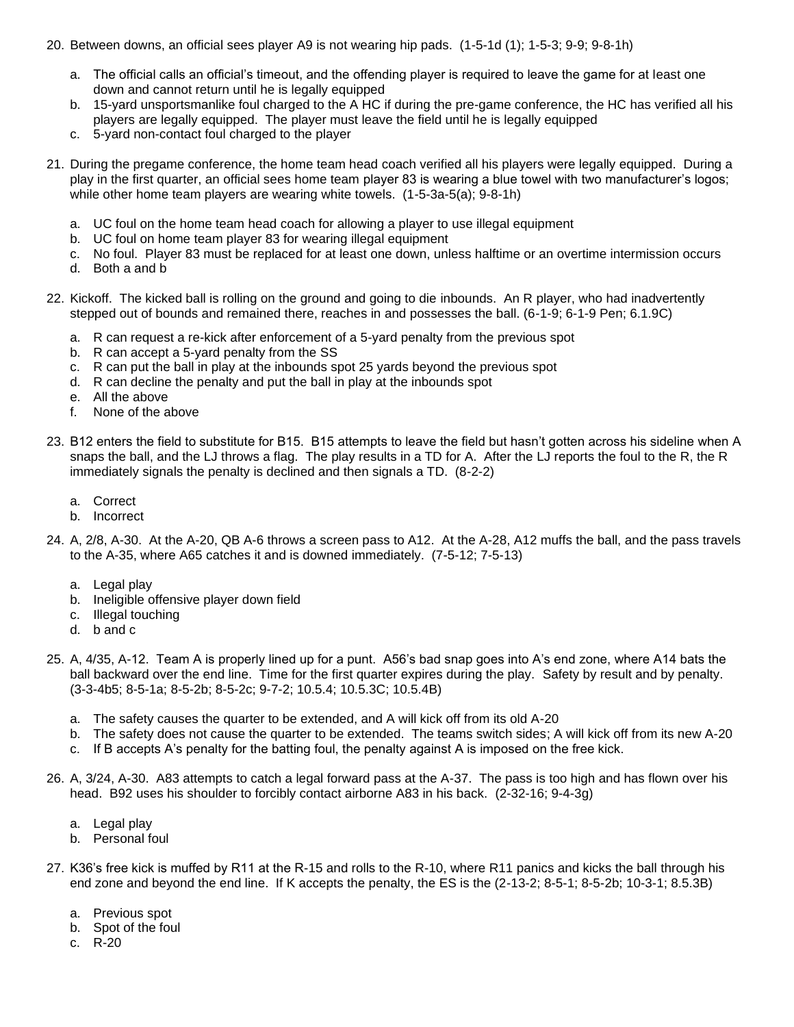- 20. Between downs, an official sees player A9 is not wearing hip pads. (1-5-1d (1); 1-5-3; 9-9; 9-8-1h)
	- a. The official calls an official's timeout, and the offending player is required to leave the game for at least one down and cannot return until he is legally equipped
	- b. 15-yard unsportsmanlike foul charged to the A HC if during the pre-game conference, the HC has verified all his players are legally equipped. The player must leave the field until he is legally equipped
	- c. 5-yard non-contact foul charged to the player
- 21. During the pregame conference, the home team head coach verified all his players were legally equipped. During a play in the first quarter, an official sees home team player 83 is wearing a blue towel with two manufacturer's logos; while other home team players are wearing white towels. (1-5-3a-5(a); 9-8-1h)
	- a. UC foul on the home team head coach for allowing a player to use illegal equipment
	- b. UC foul on home team player 83 for wearing illegal equipment
	- c. No foul. Player 83 must be replaced for at least one down, unless halftime or an overtime intermission occurs
	- d. Both a and b
- 22. Kickoff. The kicked ball is rolling on the ground and going to die inbounds. An R player, who had inadvertently stepped out of bounds and remained there, reaches in and possesses the ball. (6-1-9; 6-1-9 Pen; 6.1.9C)
	- a. R can request a re-kick after enforcement of a 5-yard penalty from the previous spot
	- b. R can accept a 5-yard penalty from the SS
	- c. R can put the ball in play at the inbounds spot 25 yards beyond the previous spot
	- d. R can decline the penalty and put the ball in play at the inbounds spot
	- e. All the above
	- f. None of the above
- 23. B12 enters the field to substitute for B15. B15 attempts to leave the field but hasn't gotten across his sideline when A snaps the ball, and the LJ throws a flag. The play results in a TD for A. After the LJ reports the foul to the R, the R immediately signals the penalty is declined and then signals a TD. (8-2-2)
	- a. Correct
	- b. Incorrect
- 24. A, 2/8, A-30. At the A-20, QB A-6 throws a screen pass to A12. At the A-28, A12 muffs the ball, and the pass travels to the A-35, where A65 catches it and is downed immediately. (7-5-12; 7-5-13)
	- a. Legal play
	- b. Ineligible offensive player down field
	- c. Illegal touching
	- d. b and c
- 25. A, 4/35, A-12. Team A is properly lined up for a punt. A56's bad snap goes into A's end zone, where A14 bats the ball backward over the end line. Time for the first quarter expires during the play. Safety by result and by penalty. (3-3-4b5; 8-5-1a; 8-5-2b; 8-5-2c; 9-7-2; 10.5.4; 10.5.3C; 10.5.4B)
	- a. The safety causes the quarter to be extended, and A will kick off from its old A-20
	- b. The safety does not cause the quarter to be extended. The teams switch sides; A will kick off from its new A-20
	- c. If B accepts A's penalty for the batting foul, the penalty against A is imposed on the free kick.
- 26. A, 3/24, A-30. A83 attempts to catch a legal forward pass at the A-37. The pass is too high and has flown over his head. B92 uses his shoulder to forcibly contact airborne A83 in his back. (2-32-16; 9-4-3g)
	- a. Legal play
	- b. Personal foul
- 27. K36's free kick is muffed by R11 at the R-15 and rolls to the R-10, where R11 panics and kicks the ball through his end zone and beyond the end line. If K accepts the penalty, the ES is the (2-13-2; 8-5-1; 8-5-2b; 10-3-1; 8.5.3B)
	- a. Previous spot
	- b. Spot of the foul
	- c. R-20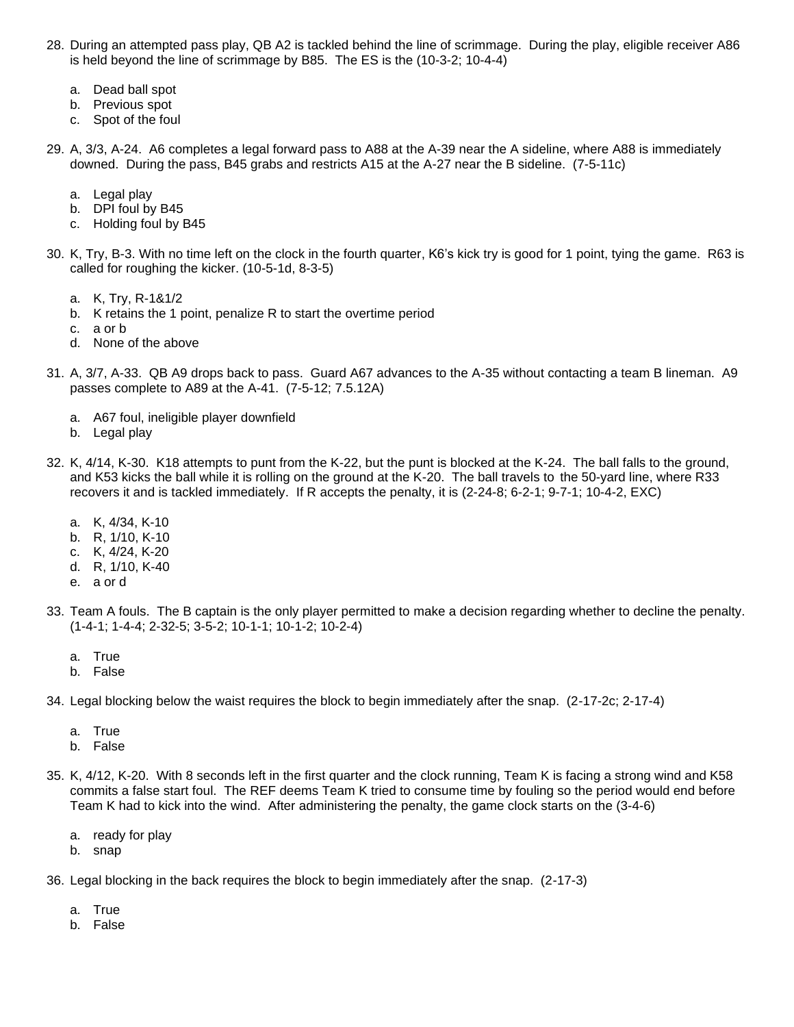- 28. During an attempted pass play, QB A2 is tackled behind the line of scrimmage. During the play, eligible receiver A86 is held beyond the line of scrimmage by B85. The ES is the (10-3-2; 10-4-4)
	- a. Dead ball spot
	- b. Previous spot
	- c. Spot of the foul
- 29. A, 3/3, A-24. A6 completes a legal forward pass to A88 at the A-39 near the A sideline, where A88 is immediately downed. During the pass, B45 grabs and restricts A15 at the A-27 near the B sideline. (7-5-11c)
	- a. Legal play
	- b. DPI foul by B45
	- c. Holding foul by B45
- 30. K, Try, B-3. With no time left on the clock in the fourth quarter, K6's kick try is good for 1 point, tying the game. R63 is called for roughing the kicker. (10-5-1d, 8-3-5)
	- a. K, Try, R-1&1/2
	- b. K retains the 1 point, penalize R to start the overtime period
	- c. a or b
	- d. None of the above
- 31. A, 3/7, A-33. QB A9 drops back to pass. Guard A67 advances to the A-35 without contacting a team B lineman. A9 passes complete to A89 at the A-41. (7-5-12; 7.5.12A)
	- a. A67 foul, ineligible player downfield
	- b. Legal play
- 32. K, 4/14, K-30. K18 attempts to punt from the K-22, but the punt is blocked at the K-24. The ball falls to the ground, and K53 kicks the ball while it is rolling on the ground at the K-20. The ball travels to the 50-yard line, where R33 recovers it and is tackled immediately. If R accepts the penalty, it is (2-24-8; 6-2-1; 9-7-1; 10-4-2, EXC)
	- a. K, 4/34, K-10
	- b. R, 1/10, K-10
	- c. K, 4/24, K-20
	- d. R, 1/10, K-40
	- e. a or d
- 33. Team A fouls. The B captain is the only player permitted to make a decision regarding whether to decline the penalty. (1-4-1; 1-4-4; 2-32-5; 3-5-2; 10-1-1; 10-1-2; 10-2-4)
	- a. True
	- b. False
- 34. Legal blocking below the waist requires the block to begin immediately after the snap. (2-17-2c; 2-17-4)
	- a. True
	- b. False
- 35. K, 4/12, K-20. With 8 seconds left in the first quarter and the clock running, Team K is facing a strong wind and K58 commits a false start foul. The REF deems Team K tried to consume time by fouling so the period would end before Team K had to kick into the wind. After administering the penalty, the game clock starts on the (3-4-6)
	- a. ready for play
	- b. snap
- 36. Legal blocking in the back requires the block to begin immediately after the snap. (2-17-3)
	- a. True
	- b. False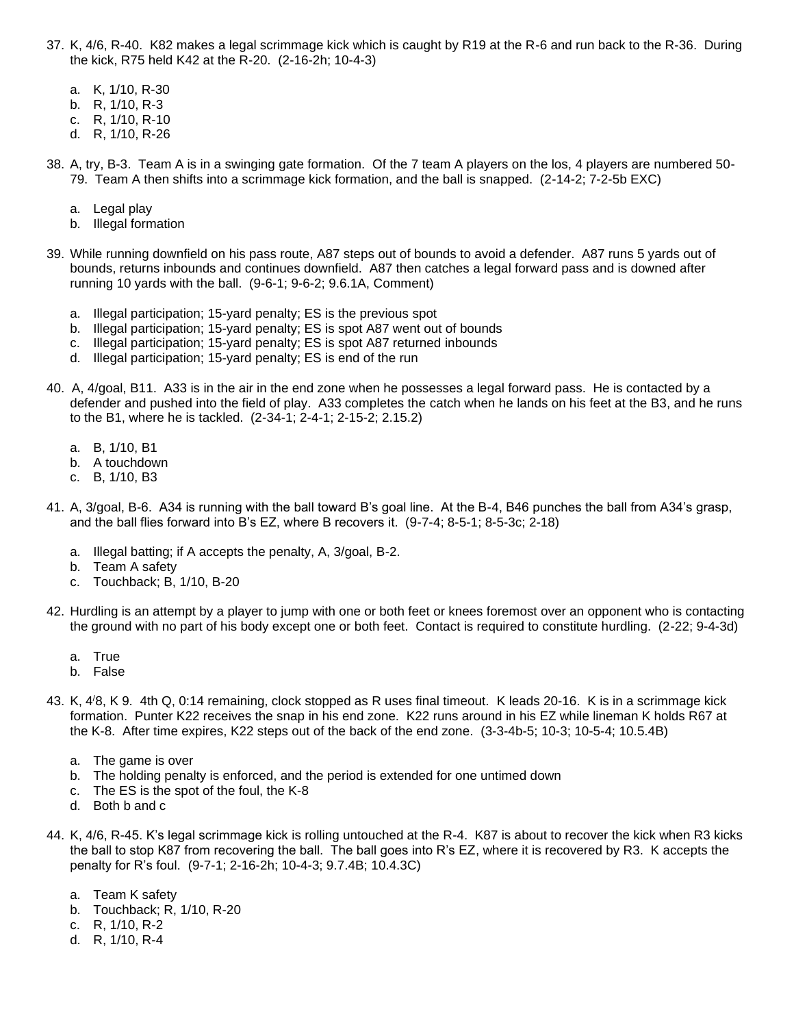- 37. K, 4/6, R-40. K82 makes a legal scrimmage kick which is caught by R19 at the R-6 and run back to the R-36. During the kick, R75 held K42 at the R-20. (2-16-2h; 10-4-3)
	- a. K, 1/10, R-30
	- b. R, 1/10, R-3
	- c. R, 1/10, R-10
	- d. R, 1/10, R-26
- 38. A, try, B-3. Team A is in a swinging gate formation. Of the 7 team A players on the los, 4 players are numbered 50- 79. Team A then shifts into a scrimmage kick formation, and the ball is snapped. (2-14-2; 7-2-5b EXC)
	- a. Legal play
	- b. Illegal formation
- 39. While running downfield on his pass route, A87 steps out of bounds to avoid a defender. A87 runs 5 yards out of bounds, returns inbounds and continues downfield. A87 then catches a legal forward pass and is downed after running 10 yards with the ball. (9-6-1; 9-6-2; 9.6.1A, Comment)
	- a. Illegal participation; 15-yard penalty; ES is the previous spot
	- b. Illegal participation; 15-yard penalty; ES is spot A87 went out of bounds
	- c. Illegal participation; 15-yard penalty; ES is spot A87 returned inbounds
	- d. Illegal participation; 15-yard penalty; ES is end of the run
- 40. A, 4/goal, B11. A33 is in the air in the end zone when he possesses a legal forward pass. He is contacted by a defender and pushed into the field of play. A33 completes the catch when he lands on his feet at the B3, and he runs to the B1, where he is tackled. (2-34-1; 2-4-1; 2-15-2; 2.15.2)
	- a. B, 1/10, B1
	- b. A touchdown
	- c. B, 1/10, B3
- 41. A, 3/goal, B-6. A34 is running with the ball toward B's goal line. At the B-4, B46 punches the ball from A34's grasp, and the ball flies forward into B's EZ, where B recovers it. (9-7-4; 8-5-1; 8-5-3c; 2-18)
	- a. Illegal batting; if A accepts the penalty, A, 3/goal, B-2.
	- b. Team A safety
	- c. Touchback; B, 1/10, B-20
- 42. Hurdling is an attempt by a player to jump with one or both feet or knees foremost over an opponent who is contacting the ground with no part of his body except one or both feet. Contact is required to constitute hurdling. (2-22; 9-4-3d)
	- a. True
	- b. False
- 43. K, 4 /8, K 9. 4th Q, 0:14 remaining, clock stopped as R uses final timeout. K leads 20-16. K is in a scrimmage kick formation. Punter K22 receives the snap in his end zone. K22 runs around in his EZ while lineman K holds R67 at the K-8. After time expires, K22 steps out of the back of the end zone. (3-3-4b-5; 10-3; 10-5-4; 10.5.4B)
	- a. The game is over
	- b. The holding penalty is enforced, and the period is extended for one untimed down
	- c. The ES is the spot of the foul, the K-8
	- d. Both b and c
- 44. K, 4/6, R-45. K's legal scrimmage kick is rolling untouched at the R-4. K87 is about to recover the kick when R3 kicks the ball to stop K87 from recovering the ball. The ball goes into R's EZ, where it is recovered by R3. K accepts the penalty for R's foul. (9-7-1; 2-16-2h; 10-4-3; 9.7.4B; 10.4.3C)
	- a. Team K safety
	- b. Touchback; R, 1/10, R-20
	- c. R, 1/10, R-2
	- d. R, 1/10, R-4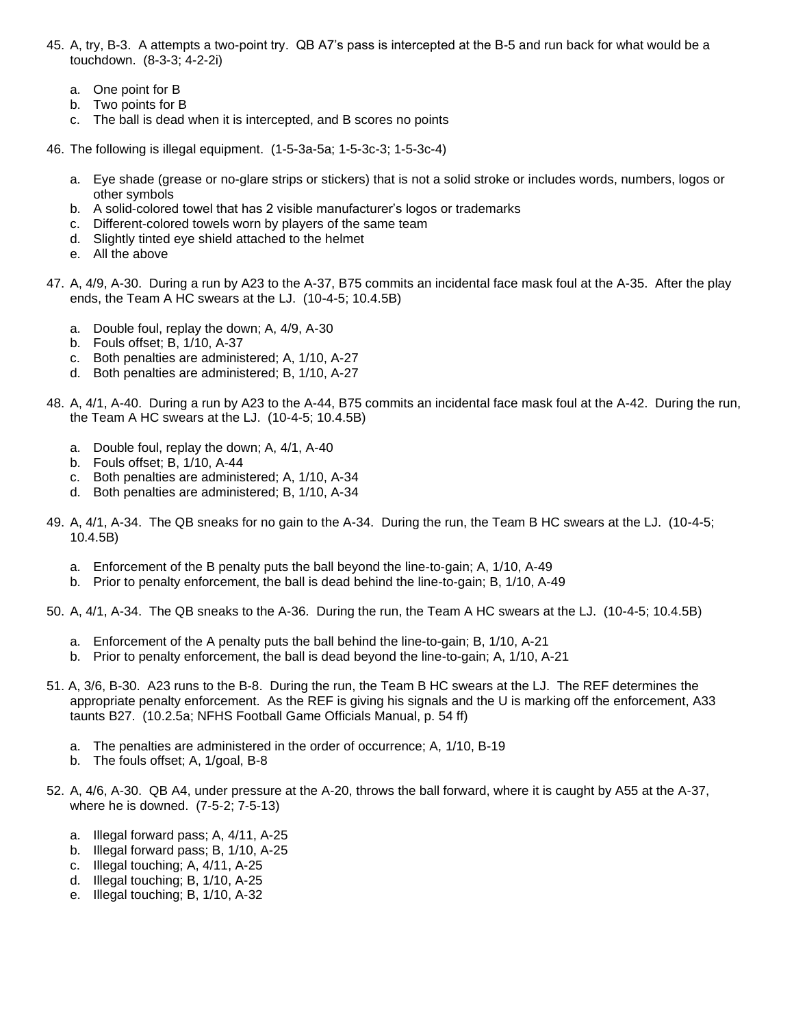- 45. A, try, B-3. A attempts a two-point try. QB A7's pass is intercepted at the B-5 and run back for what would be a touchdown. (8-3-3; 4-2-2i)
	- a. One point for B
	- b. Two points for B
	- c. The ball is dead when it is intercepted, and B scores no points
- 46. The following is illegal equipment. (1-5-3a-5a; 1-5-3c-3; 1-5-3c-4)
	- a. Eye shade (grease or no-glare strips or stickers) that is not a solid stroke or includes words, numbers, logos or other symbols
	- b. A solid-colored towel that has 2 visible manufacturer's logos or trademarks
	- c. Different-colored towels worn by players of the same team
	- d. Slightly tinted eye shield attached to the helmet
	- e. All the above
- 47. A, 4/9, A-30. During a run by A23 to the A-37, B75 commits an incidental face mask foul at the A-35. After the play ends, the Team A HC swears at the LJ. (10-4-5; 10.4.5B)
	- a. Double foul, replay the down; A, 4/9, A-30
	- b. Fouls offset; B, 1/10, A-37
	- c. Both penalties are administered; A, 1/10, A-27
	- d. Both penalties are administered; B, 1/10, A-27
- 48. A, 4/1, A-40. During a run by A23 to the A-44, B75 commits an incidental face mask foul at the A-42. During the run, the Team A HC swears at the LJ. (10-4-5; 10.4.5B)
	- a. Double foul, replay the down; A, 4/1, A-40
	- b. Fouls offset; B, 1/10, A-44
	- c. Both penalties are administered; A, 1/10, A-34
	- d. Both penalties are administered; B, 1/10, A-34
- 49. A, 4/1, A-34. The QB sneaks for no gain to the A-34. During the run, the Team B HC swears at the LJ. (10-4-5; 10.4.5B)
	- a. Enforcement of the B penalty puts the ball beyond the line-to-gain; A, 1/10, A-49
	- b. Prior to penalty enforcement, the ball is dead behind the line-to-gain; B, 1/10, A-49
- 50. A, 4/1, A-34. The QB sneaks to the A-36. During the run, the Team A HC swears at the LJ. (10-4-5; 10.4.5B)
	- a. Enforcement of the A penalty puts the ball behind the line-to-gain; B, 1/10, A-21
	- b. Prior to penalty enforcement, the ball is dead beyond the line-to-gain; A, 1/10, A-21
- 51. A, 3/6, B-30. A23 runs to the B-8. During the run, the Team B HC swears at the LJ. The REF determines the appropriate penalty enforcement. As the REF is giving his signals and the U is marking off the enforcement, A33 taunts B27. (10.2.5a; NFHS Football Game Officials Manual, p. 54 ff)
	- a. The penalties are administered in the order of occurrence; A, 1/10, B-19
	- b. The fouls offset; A, 1/goal, B-8
- 52. A, 4/6, A-30. QB A4, under pressure at the A-20, throws the ball forward, where it is caught by A55 at the A-37, where he is downed. (7-5-2; 7-5-13)
	- a. Illegal forward pass; A, 4/11, A-25
	- b. Illegal forward pass; B, 1/10, A-25
	- c. Illegal touching; A, 4/11, A-25
	- d. Illegal touching; B, 1/10, A-25
	- e. Illegal touching; B, 1/10, A-32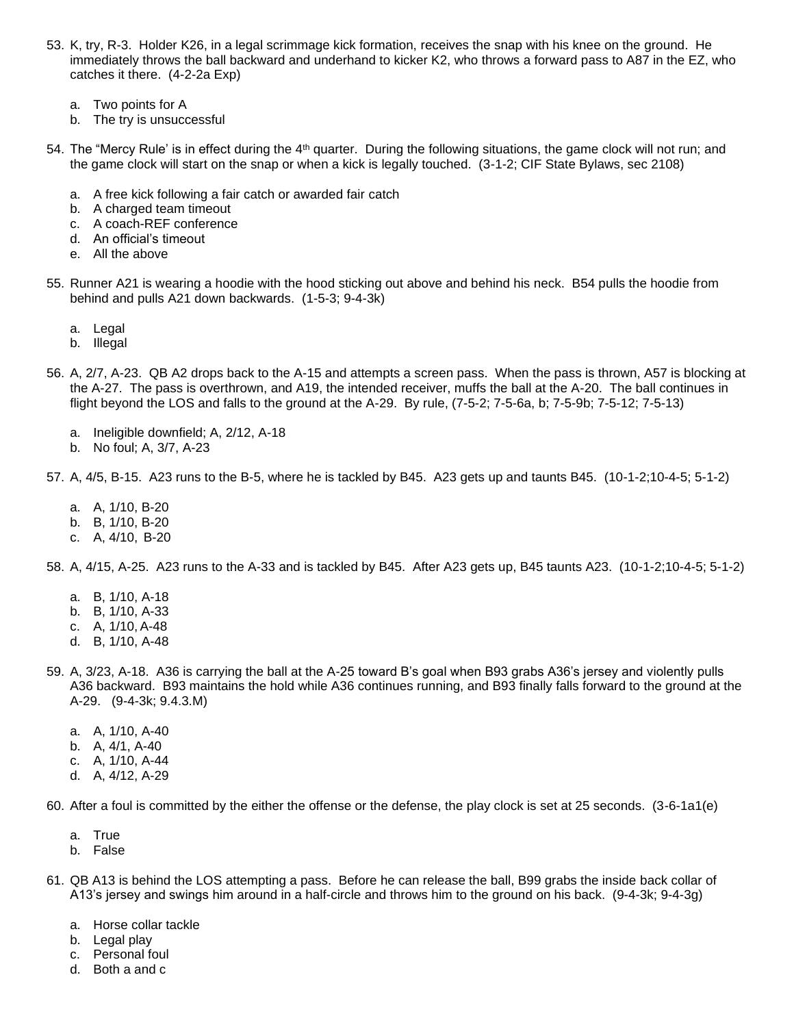- 53. K, try, R-3. Holder K26, in a legal scrimmage kick formation, receives the snap with his knee on the ground. He immediately throws the ball backward and underhand to kicker K2, who throws a forward pass to A87 in the EZ, who catches it there. (4-2-2a Exp)
	- a. Two points for A
	- b. The try is unsuccessful
- 54. The "Mercy Rule' is in effect during the 4<sup>th</sup> quarter. During the following situations, the game clock will not run; and the game clock will start on the snap or when a kick is legally touched. (3-1-2; CIF State Bylaws, sec 2108)
	- a. A free kick following a fair catch or awarded fair catch
	- b. A charged team timeout
	- c. A coach-REF conference
	- d. An official's timeout
	- e. All the above
- 55. Runner A21 is wearing a hoodie with the hood sticking out above and behind his neck. B54 pulls the hoodie from behind and pulls A21 down backwards. (1-5-3; 9-4-3k)
	- a. Legal
	- b. Illegal
- 56. A, 2/7, A-23. QB A2 drops back to the A-15 and attempts a screen pass. When the pass is thrown, A57 is blocking at the A-27. The pass is overthrown, and A19, the intended receiver, muffs the ball at the A-20. The ball continues in flight beyond the LOS and falls to the ground at the A-29. By rule, (7-5-2; 7-5-6a, b; 7-5-9b; 7-5-12; 7-5-13)
	- a. Ineligible downfield; A, 2/12, A-18
	- b. No foul; A, 3/7, A-23
- 57. A, 4/5, B-15. A23 runs to the B-5, where he is tackled by B45. A23 gets up and taunts B45. (10-1-2;10-4-5; 5-1-2)
	- a. A, 1/10, B-20
	- b. B, 1/10, B-20
	- c. A, 4/10, B-20
- 58. A, 4/15, A-25. A23 runs to the A-33 and is tackled by B45. After A23 gets up, B45 taunts A23. (10-1-2;10-4-5; 5-1-2)
	- a. B, 1/10, A-18
	- b. B, 1/10, A-33
	- c. A, 1/10, A-48
	- d. B, 1/10, A-48
- 59. A, 3/23, A-18. A36 is carrying the ball at the A-25 toward B's goal when B93 grabs A36's jersey and violently pulls A36 backward. B93 maintains the hold while A36 continues running, and B93 finally falls forward to the ground at the A-29. (9-4-3k; 9.4.3.M)
	- a. A, 1/10, A-40
	- b. A, 4/1, A-40
	- c. A, 1/10, A-44
	- d. A, 4/12, A-29
- 60. After a foul is committed by the either the offense or the defense, the play clock is set at 25 seconds. (3-6-1a1(e)
	- a. True
	- b. False
- 61. QB A13 is behind the LOS attempting a pass. Before he can release the ball, B99 grabs the inside back collar of A13's jersey and swings him around in a half-circle and throws him to the ground on his back. (9-4-3k; 9-4-3g)
	- a. Horse collar tackle
	- b. Legal play
	- c. Personal foul
	- d. Both a and c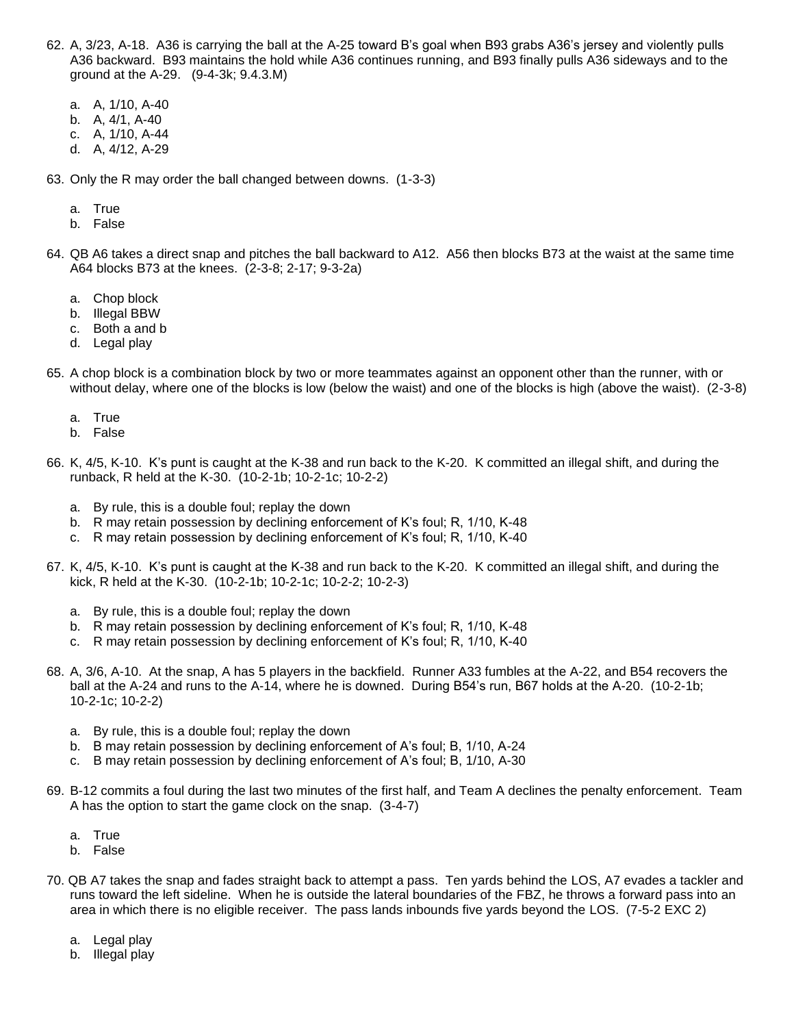- 62. A, 3/23, A-18. A36 is carrying the ball at the A-25 toward B's goal when B93 grabs A36's jersey and violently pulls A36 backward. B93 maintains the hold while A36 continues running, and B93 finally pulls A36 sideways and to the ground at the A-29. (9-4-3k; 9.4.3.M)
	- a. A, 1/10, A-40
	- b. A, 4/1, A-40
	- c. A, 1/10, A-44
	- d. A, 4/12, A-29
- 63. Only the R may order the ball changed between downs. (1-3-3)
	- a. True
	- b. False
- 64. QB A6 takes a direct snap and pitches the ball backward to A12. A56 then blocks B73 at the waist at the same time A64 blocks B73 at the knees. (2-3-8; 2-17; 9-3-2a)
	- a. Chop block
	- b. Illegal BBW
	- c. Both a and b
	- d. Legal play
- 65. A chop block is a combination block by two or more teammates against an opponent other than the runner, with or without delay, where one of the blocks is low (below the waist) and one of the blocks is high (above the waist). (2-3-8)
	- a. True
	- b. False
- 66. K, 4/5, K-10. K's punt is caught at the K-38 and run back to the K-20. K committed an illegal shift, and during the runback, R held at the K-30. (10-2-1b; 10-2-1c; 10-2-2)
	- a. By rule, this is a double foul; replay the down
	- b. R may retain possession by declining enforcement of K's foul; R, 1/10, K-48
	- c. R may retain possession by declining enforcement of K's foul; R, 1/10, K-40
- 67. K, 4/5, K-10. K's punt is caught at the K-38 and run back to the K-20. K committed an illegal shift, and during the kick, R held at the K-30. (10-2-1b; 10-2-1c; 10-2-2; 10-2-3)
	- a. By rule, this is a double foul; replay the down
	- b. R may retain possession by declining enforcement of K's foul; R, 1/10, K-48
	- c. R may retain possession by declining enforcement of K's foul; R, 1/10, K-40
- 68. A, 3/6, A-10. At the snap, A has 5 players in the backfield. Runner A33 fumbles at the A-22, and B54 recovers the ball at the A-24 and runs to the A-14, where he is downed. During B54's run, B67 holds at the A-20. (10-2-1b; 10-2-1c; 10-2-2)
	- a. By rule, this is a double foul; replay the down
	- b. B may retain possession by declining enforcement of A's foul; B, 1/10, A-24
	- c. B may retain possession by declining enforcement of A's foul; B, 1/10, A-30
- 69. B-12 commits a foul during the last two minutes of the first half, and Team A declines the penalty enforcement. Team A has the option to start the game clock on the snap. (3-4-7)
	- a. True
	- b. False
- 70. QB A7 takes the snap and fades straight back to attempt a pass. Ten yards behind the LOS, A7 evades a tackler and runs toward the left sideline. When he is outside the lateral boundaries of the FBZ, he throws a forward pass into an area in which there is no eligible receiver. The pass lands inbounds five yards beyond the LOS. (7-5-2 EXC 2)
	- a. Legal play
	- b. Illegal play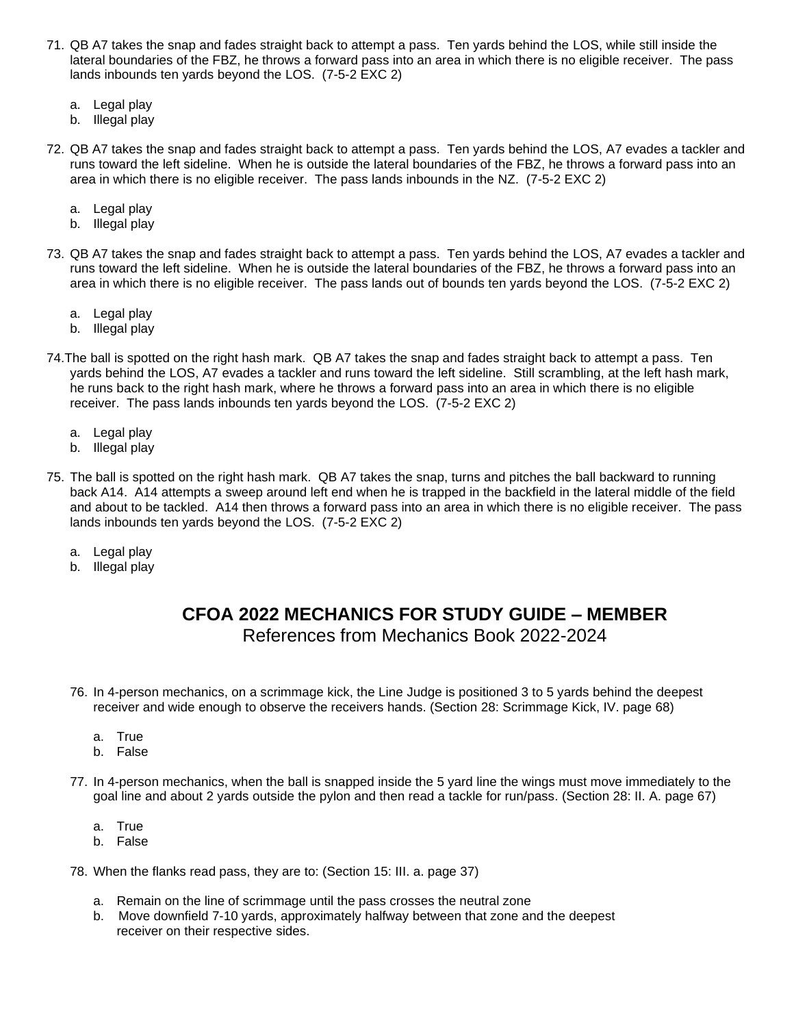- 71. QB A7 takes the snap and fades straight back to attempt a pass. Ten yards behind the LOS, while still inside the lateral boundaries of the FBZ, he throws a forward pass into an area in which there is no eligible receiver. The pass lands inbounds ten yards beyond the LOS. (7-5-2 EXC 2)
	- a. Legal play
	- b. Illegal play
- 72. QB A7 takes the snap and fades straight back to attempt a pass. Ten yards behind the LOS, A7 evades a tackler and runs toward the left sideline. When he is outside the lateral boundaries of the FBZ, he throws a forward pass into an area in which there is no eligible receiver. The pass lands inbounds in the NZ. (7-5-2 EXC 2)
	- a. Legal play
	- b. Illegal play
- 73. QB A7 takes the snap and fades straight back to attempt a pass. Ten yards behind the LOS, A7 evades a tackler and runs toward the left sideline. When he is outside the lateral boundaries of the FBZ, he throws a forward pass into an area in which there is no eligible receiver. The pass lands out of bounds ten yards beyond the LOS. (7-5-2 EXC 2)
	- a. Legal play
	- b. Illegal play
- 74.The ball is spotted on the right hash mark. QB A7 takes the snap and fades straight back to attempt a pass. Ten yards behind the LOS, A7 evades a tackler and runs toward the left sideline. Still scrambling, at the left hash mark, he runs back to the right hash mark, where he throws a forward pass into an area in which there is no eligible receiver. The pass lands inbounds ten yards beyond the LOS. (7-5-2 EXC 2)
	- a. Legal play
	- b. Illegal play
- 75. The ball is spotted on the right hash mark. QB A7 takes the snap, turns and pitches the ball backward to running back A14. A14 attempts a sweep around left end when he is trapped in the backfield in the lateral middle of the field and about to be tackled. A14 then throws a forward pass into an area in which there is no eligible receiver. The pass lands inbounds ten yards beyond the LOS. (7-5-2 EXC 2)
	- a. Legal play
	- b. Illegal play

## **CFOA 2022 MECHANICS FOR STUDY GUIDE – MEMBER**

References from Mechanics Book 2022-2024

- 76. In 4-person mechanics, on a scrimmage kick, the Line Judge is positioned 3 to 5 yards behind the deepest receiver and wide enough to observe the receivers hands. (Section 28: Scrimmage Kick, IV. page 68)
	- a. True
	- b. False
- 77. In 4-person mechanics, when the ball is snapped inside the 5 yard line the wings must move immediately to the goal line and about 2 yards outside the pylon and then read a tackle for run/pass. (Section 28: II. A. page 67)
	- a. True
	- b. False
- 78. When the flanks read pass, they are to: (Section 15: III. a. page 37)
	- a. Remain on the line of scrimmage until the pass crosses the neutral zone
	- b. Move downfield 7-10 yards, approximately halfway between that zone and the deepest receiver on their respective sides.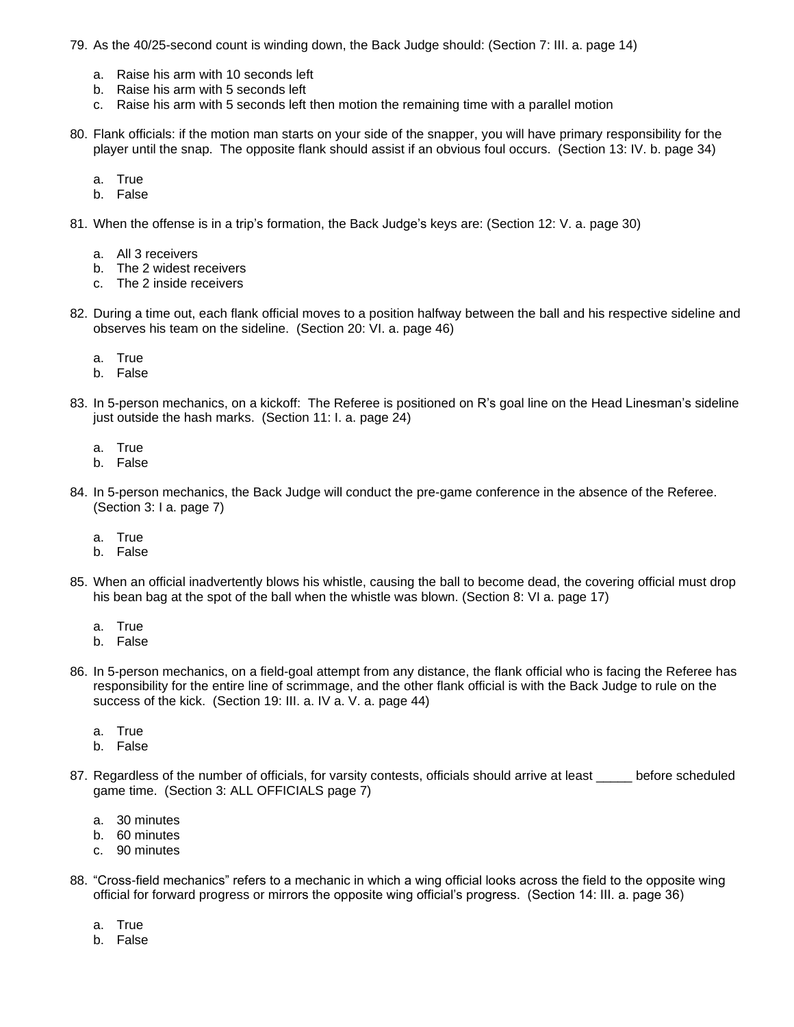- 79. As the 40/25-second count is winding down, the Back Judge should: (Section 7: III. a. page 14)
	- a. Raise his arm with 10 seconds left
	- b. Raise his arm with 5 seconds left
	- c. Raise his arm with 5 seconds left then motion the remaining time with a parallel motion
- 80. Flank officials: if the motion man starts on your side of the snapper, you will have primary responsibility for the player until the snap. The opposite flank should assist if an obvious foul occurs. (Section 13: IV. b. page 34)
	- a. True
	- b. False
- 81. When the offense is in a trip's formation, the Back Judge's keys are: (Section 12: V. a. page 30)
	- a. All 3 receivers
	- b. The 2 widest receivers
	- c. The 2 inside receivers
- 82. During a time out, each flank official moves to a position halfway between the ball and his respective sideline and observes his team on the sideline. (Section 20: VI. a. page 46)
	- a. True
	- b. False
- 83. In 5-person mechanics, on a kickoff: The Referee is positioned on R's goal line on the Head Linesman's sideline just outside the hash marks. (Section 11: I. a. page 24)
	- a. True
	- b. False
- 84. In 5-person mechanics, the Back Judge will conduct the pre-game conference in the absence of the Referee. (Section 3: I a. page 7)
	- a. True
	- b. False
- 85. When an official inadvertently blows his whistle, causing the ball to become dead, the covering official must drop his bean bag at the spot of the ball when the whistle was blown. (Section 8: VI a. page 17)
	- a. True
	- b. False
- 86. In 5-person mechanics, on a field-goal attempt from any distance, the flank official who is facing the Referee has responsibility for the entire line of scrimmage, and the other flank official is with the Back Judge to rule on the success of the kick. (Section 19: III. a. IV a. V. a. page 44)
	- a. True
	- b. False
- 87. Regardless of the number of officials, for varsity contests, officials should arrive at least \_\_\_\_\_ before scheduled game time. (Section 3: ALL OFFICIALS page 7)
	- a. 30 minutes
	- b. 60 minutes
	- c. 90 minutes
- 88. "Cross-field mechanics" refers to a mechanic in which a wing official looks across the field to the opposite wing official for forward progress or mirrors the opposite wing official's progress. (Section 14: III. a. page 36)
	- a. True
	- b. False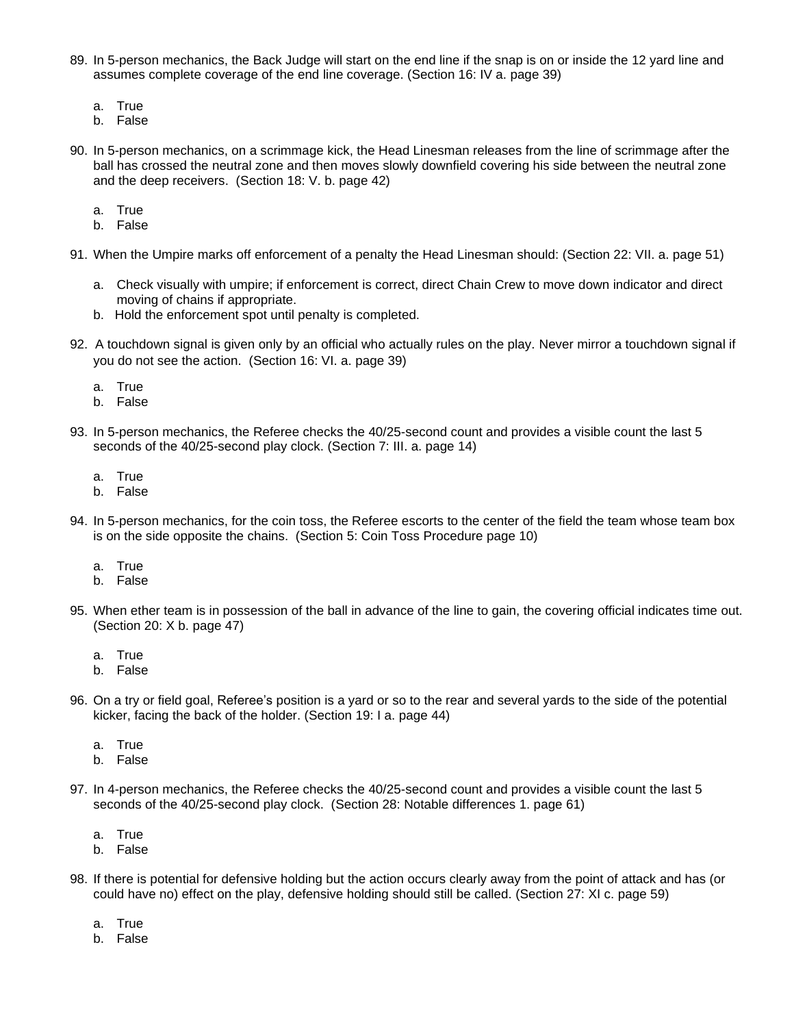- 89. In 5-person mechanics, the Back Judge will start on the end line if the snap is on or inside the 12 yard line and assumes complete coverage of the end line coverage. (Section 16: IV a. page 39)
	- a. True
	- b. False
- 90. In 5-person mechanics, on a scrimmage kick, the Head Linesman releases from the line of scrimmage after the ball has crossed the neutral zone and then moves slowly downfield covering his side between the neutral zone and the deep receivers. (Section 18: V. b. page 42)
	- a. True
	- b. False
- 91. When the Umpire marks off enforcement of a penalty the Head Linesman should: (Section 22: VII. a. page 51)
	- a. Check visually with umpire; if enforcement is correct, direct Chain Crew to move down indicator and direct moving of chains if appropriate.
	- b. Hold the enforcement spot until penalty is completed.
- 92. A touchdown signal is given only by an official who actually rules on the play. Never mirror a touchdown signal if you do not see the action. (Section 16: VI. a. page 39)
	- a. True
	- b. False
- 93. In 5-person mechanics, the Referee checks the 40/25-second count and provides a visible count the last 5 seconds of the 40/25-second play clock. (Section 7: III. a. page 14)
	- a. True
	- b. False
- 94. In 5-person mechanics, for the coin toss, the Referee escorts to the center of the field the team whose team box is on the side opposite the chains. (Section 5: Coin Toss Procedure page 10)
	- a. True
	- b. False
- 95. When ether team is in possession of the ball in advance of the line to gain, the covering official indicates time out. (Section 20: X b. page 47)
	- a. True
	- b. False
- 96. On a try or field goal, Referee's position is a yard or so to the rear and several yards to the side of the potential kicker, facing the back of the holder. (Section 19: I a. page 44)
	- a. True
	- b. False
- 97. In 4-person mechanics, the Referee checks the 40/25-second count and provides a visible count the last 5 seconds of the 40/25-second play clock. (Section 28: Notable differences 1. page 61)
	- a. True
	- b. False
- 98. If there is potential for defensive holding but the action occurs clearly away from the point of attack and has (or could have no) effect on the play, defensive holding should still be called. (Section 27: XI c. page 59)
	- a. True
	- b. False